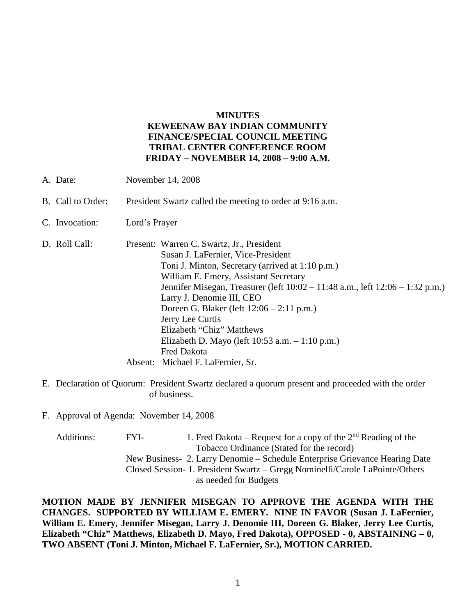#### **MINUTES**

# **KEWEENAW BAY INDIAN COMMUNITY FINANCE/SPECIAL COUNCIL MEETING TRIBAL CENTER CONFERENCE ROOM FRIDAY – NOVEMBER 14, 2008 – 9:00 A.M.**

- A. Date: November 14, 2008
- B. Call to Order: President Swartz called the meeting to order at 9:16 a.m.
- C. Invocation: Lord's Prayer
- D. Roll Call: Present: Warren C. Swartz, Jr., President Susan J. LaFernier, Vice-President Toni J. Minton, Secretary (arrived at 1:10 p.m.) William E. Emery, Assistant Secretary Jennifer Misegan, Treasurer (left 10:02 – 11:48 a.m., left 12:06 – 1:32 p.m.) Larry J. Denomie III, CEO Doreen G. Blaker (left 12:06 – 2:11 p.m.) Jerry Lee Curtis Elizabeth "Chiz" Matthews Elizabeth D. Mayo (left 10:53 a.m. – 1:10 p.m.) Fred Dakota Absent: Michael F. LaFernier, Sr.
- E. Declaration of Quorum: President Swartz declared a quorum present and proceeded with the order of business.

F. Approval of Agenda: November 14, 2008

| Additions: | FYI-                                                                        | 1. Fred Dakota – Request for a copy of the $2nd$ Reading of the |  |
|------------|-----------------------------------------------------------------------------|-----------------------------------------------------------------|--|
|            | Tobacco Ordinance (Stated for the record)                                   |                                                                 |  |
|            | New Business- 2. Larry Denomie – Schedule Enterprise Grievance Hearing Date |                                                                 |  |
|            | Closed Session-1. President Swartz – Gregg Nominelli/Carole LaPointe/Others |                                                                 |  |
|            |                                                                             | as needed for Budgets                                           |  |

**MOTION MADE BY JENNIFER MISEGAN TO APPROVE THE AGENDA WITH THE CHANGES. SUPPORTED BY WILLIAM E. EMERY. NINE IN FAVOR (Susan J. LaFernier, William E. Emery, Jennifer Misegan, Larry J. Denomie III, Doreen G. Blaker, Jerry Lee Curtis, Elizabeth "Chiz" Matthews, Elizabeth D. Mayo, Fred Dakota), OPPOSED - 0, ABSTAINING – 0, TWO ABSENT (Toni J. Minton, Michael F. LaFernier, Sr.), MOTION CARRIED.**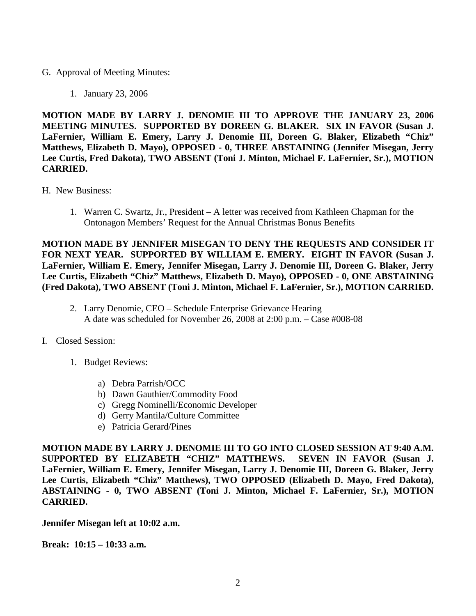## G. Approval of Meeting Minutes:

1. January 23, 2006

**MOTION MADE BY LARRY J. DENOMIE III TO APPROVE THE JANUARY 23, 2006 MEETING MINUTES. SUPPORTED BY DOREEN G. BLAKER. SIX IN FAVOR (Susan J. LaFernier, William E. Emery, Larry J. Denomie III, Doreen G. Blaker, Elizabeth "Chiz" Matthews, Elizabeth D. Mayo), OPPOSED - 0, THREE ABSTAINING (Jennifer Misegan, Jerry Lee Curtis, Fred Dakota), TWO ABSENT (Toni J. Minton, Michael F. LaFernier, Sr.), MOTION CARRIED.**

- H. New Business:
	- 1. Warren C. Swartz, Jr., President A letter was received from Kathleen Chapman for the Ontonagon Members' Request for the Annual Christmas Bonus Benefits

**MOTION MADE BY JENNIFER MISEGAN TO DENY THE REQUESTS AND CONSIDER IT FOR NEXT YEAR. SUPPORTED BY WILLIAM E. EMERY. EIGHT IN FAVOR (Susan J. LaFernier, William E. Emery, Jennifer Misegan, Larry J. Denomie III, Doreen G. Blaker, Jerry Lee Curtis, Elizabeth "Chiz" Matthews, Elizabeth D. Mayo), OPPOSED - 0, ONE ABSTAINING (Fred Dakota), TWO ABSENT (Toni J. Minton, Michael F. LaFernier, Sr.), MOTION CARRIED.**

- 2. Larry Denomie, CEO Schedule Enterprise Grievance Hearing A date was scheduled for November 26, 2008 at 2:00 p.m. – Case #008-08
- I. Closed Session:
	- 1. Budget Reviews:
		- a) Debra Parrish/OCC
		- b) Dawn Gauthier/Commodity Food
		- c) Gregg Nominelli/Economic Developer
		- d) Gerry Mantila/Culture Committee
		- e) Patricia Gerard/Pines

**MOTION MADE BY LARRY J. DENOMIE III TO GO INTO CLOSED SESSION AT 9:40 A.M. SUPPORTED BY ELIZABETH "CHIZ" MATTHEWS. SEVEN IN FAVOR (Susan J. LaFernier, William E. Emery, Jennifer Misegan, Larry J. Denomie III, Doreen G. Blaker, Jerry Lee Curtis, Elizabeth "Chiz" Matthews), TWO OPPOSED (Elizabeth D. Mayo, Fred Dakota), ABSTAINING - 0, TWO ABSENT (Toni J. Minton, Michael F. LaFernier, Sr.), MOTION CARRIED.**

**Jennifer Misegan left at 10:02 a.m.**

**Break: 10:15 – 10:33 a.m.**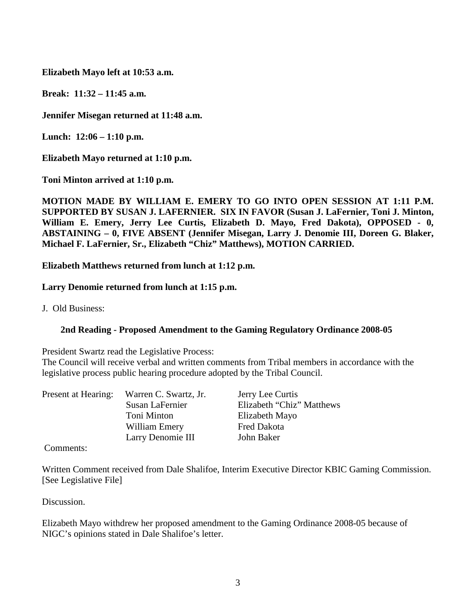**Elizabeth Mayo left at 10:53 a.m.**

**Break: 11:32 – 11:45 a.m.**

**Jennifer Misegan returned at 11:48 a.m.**

**Lunch: 12:06 – 1:10 p.m.**

**Elizabeth Mayo returned at 1:10 p.m.**

**Toni Minton arrived at 1:10 p.m.**

**MOTION MADE BY WILLIAM E. EMERY TO GO INTO OPEN SESSION AT 1:11 P.M. SUPPORTED BY SUSAN J. LAFERNIER. SIX IN FAVOR (Susan J. LaFernier, Toni J. Minton, William E. Emery, Jerry Lee Curtis, Elizabeth D. Mayo, Fred Dakota), OPPOSED - 0, ABSTAINING – 0, FIVE ABSENT (Jennifer Misegan, Larry J. Denomie III, Doreen G. Blaker, Michael F. LaFernier, Sr., Elizabeth "Chiz" Matthews), MOTION CARRIED.**

**Elizabeth Matthews returned from lunch at 1:12 p.m.**

**Larry Denomie returned from lunch at 1:15 p.m.**

J. Old Business:

# **2nd Reading - Proposed Amendment to the Gaming Regulatory Ordinance 2008-05**

President Swartz read the Legislative Process:

The Council will receive verbal and written comments from Tribal members in accordance with the legislative process public hearing procedure adopted by the Tribal Council.

| Present at Hearing: | Warren C. Swartz, Jr. | Jerry Lee Curtis          |
|---------------------|-----------------------|---------------------------|
|                     | Susan LaFernier       | Elizabeth "Chiz" Matthews |
|                     | Toni Minton           | Elizabeth Mayo            |
|                     | William Emery         | <b>Fred Dakota</b>        |
|                     | Larry Denomie III     | John Baker                |
|                     |                       |                           |

Comments:

Written Comment received from Dale Shalifoe, Interim Executive Director KBIC Gaming Commission. [See Legislative File]

Discussion.

Elizabeth Mayo withdrew her proposed amendment to the Gaming Ordinance 2008-05 because of NIGC's opinions stated in Dale Shalifoe's letter.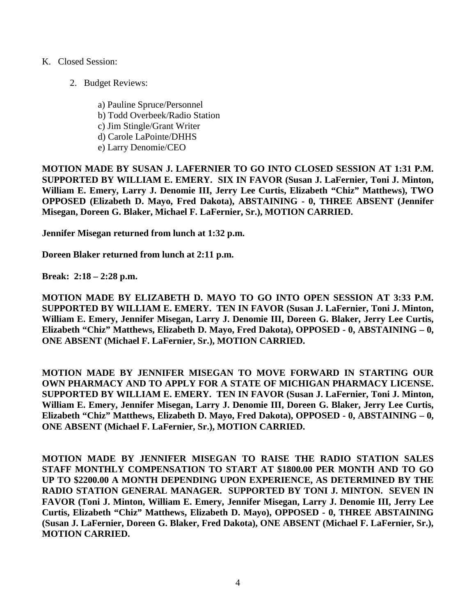# K. Closed Session:

2. Budget Reviews:

a) Pauline Spruce/Personnel b) Todd Overbeek/Radio Station c) Jim Stingle/Grant Writer d) Carole LaPointe/DHHS e) Larry Denomie/CEO

**MOTION MADE BY SUSAN J. LAFERNIER TO GO INTO CLOSED SESSION AT 1:31 P.M. SUPPORTED BY WILLIAM E. EMERY. SIX IN FAVOR (Susan J. LaFernier, Toni J. Minton, William E. Emery, Larry J. Denomie III, Jerry Lee Curtis, Elizabeth "Chiz" Matthews), TWO OPPOSED (Elizabeth D. Mayo, Fred Dakota), ABSTAINING - 0, THREE ABSENT (Jennifer Misegan, Doreen G. Blaker, Michael F. LaFernier, Sr.), MOTION CARRIED.**

**Jennifer Misegan returned from lunch at 1:32 p.m.**

**Doreen Blaker returned from lunch at 2:11 p.m.**

**Break: 2:18 – 2:28 p.m.**

**MOTION MADE BY ELIZABETH D. MAYO TO GO INTO OPEN SESSION AT 3:33 P.M. SUPPORTED BY WILLIAM E. EMERY. TEN IN FAVOR (Susan J. LaFernier, Toni J. Minton, William E. Emery, Jennifer Misegan, Larry J. Denomie III, Doreen G. Blaker, Jerry Lee Curtis, Elizabeth "Chiz" Matthews, Elizabeth D. Mayo, Fred Dakota), OPPOSED - 0, ABSTAINING – 0, ONE ABSENT (Michael F. LaFernier, Sr.), MOTION CARRIED.**

**MOTION MADE BY JENNIFER MISEGAN TO MOVE FORWARD IN STARTING OUR OWN PHARMACY AND TO APPLY FOR A STATE OF MICHIGAN PHARMACY LICENSE. SUPPORTED BY WILLIAM E. EMERY. TEN IN FAVOR (Susan J. LaFernier, Toni J. Minton, William E. Emery, Jennifer Misegan, Larry J. Denomie III, Doreen G. Blaker, Jerry Lee Curtis, Elizabeth "Chiz" Matthews, Elizabeth D. Mayo, Fred Dakota), OPPOSED - 0, ABSTAINING – 0, ONE ABSENT (Michael F. LaFernier, Sr.), MOTION CARRIED.**

**MOTION MADE BY JENNIFER MISEGAN TO RAISE THE RADIO STATION SALES STAFF MONTHLY COMPENSATION TO START AT \$1800.00 PER MONTH AND TO GO UP TO \$2200.00 A MONTH DEPENDING UPON EXPERIENCE, AS DETERMINED BY THE RADIO STATION GENERAL MANAGER. SUPPORTED BY TONI J. MINTON. SEVEN IN FAVOR (Toni J. Minton, William E. Emery, Jennifer Misegan, Larry J. Denomie III, Jerry Lee Curtis, Elizabeth "Chiz" Matthews, Elizabeth D. Mayo), OPPOSED - 0, THREE ABSTAINING (Susan J. LaFernier, Doreen G. Blaker, Fred Dakota), ONE ABSENT (Michael F. LaFernier, Sr.), MOTION CARRIED.**